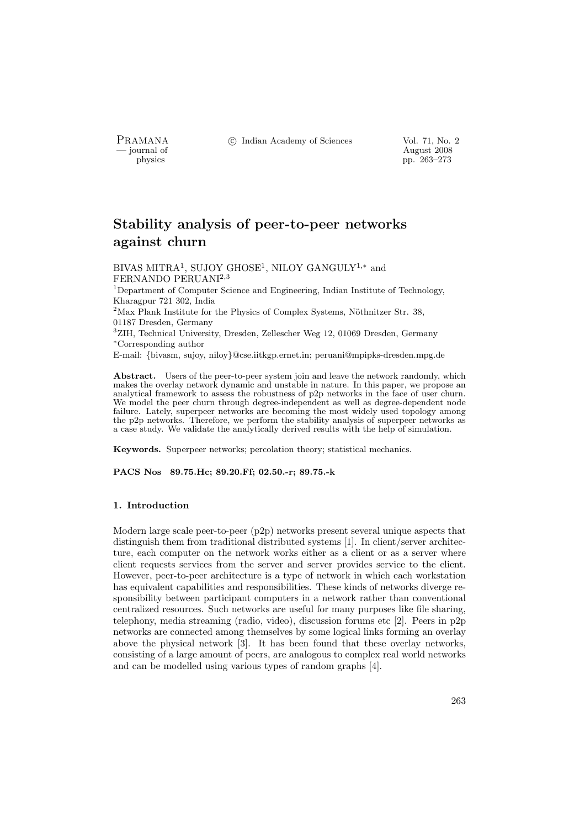PRAMANA °c Indian Academy of Sciences Vol. 71, No. 2

physics and the contract of the contract of the contract  $\frac{1}{2008}$  pp. 263–273 physics pp. 263–273

# Stability analysis of peer-to-peer networks against churn

BIVAS MITRA<sup>1</sup>, SUJOY GHOSE<sup>1</sup>, NILOY GANGULY<sup>1,\*</sup> and FERNANDO PERUANI<sup>2</sup>,<sup>3</sup>

<sup>1</sup>Department of Computer Science and Engineering, Indian Institute of Technology, Kharagpur 721 302, India

 $2^2$ Max Plank Institute for the Physics of Complex Systems, Nöthnitzer Str. 38, 01187 Dresden, Germany

<sup>3</sup>ZIH, Technical University, Dresden, Zellescher Weg 12, 01069 Dresden, Germany <sup>∗</sup>Corresponding author

E-mail: {bivasm, sujoy, niloy}@cse.iitkgp.ernet.in; peruani@mpipks-dresden.mpg.de

Abstract. Users of the peer-to-peer system join and leave the network randomly, which makes the overlay network dynamic and unstable in nature. In this paper, we propose an analytical framework to assess the robustness of p2p networks in the face of user churn. We model the peer churn through degree-independent as well as degree-dependent node failure. Lately, superpeer networks are becoming the most widely used topology among the p2p networks. Therefore, we perform the stability analysis of superpeer networks as a case study. We validate the analytically derived results with the help of simulation.

Keywords. Superpeer networks; percolation theory; statistical mechanics.

PACS Nos 89.75.Hc; 89.20.Ff; 02.50.-r; 89.75.-k

## 1. Introduction

Modern large scale peer-to-peer (p2p) networks present several unique aspects that distinguish them from traditional distributed systems [1]. In client/server architecture, each computer on the network works either as a client or as a server where client requests services from the server and server provides service to the client. However, peer-to-peer architecture is a type of network in which each workstation has equivalent capabilities and responsibilities. These kinds of networks diverge responsibility between participant computers in a network rather than conventional centralized resources. Such networks are useful for many purposes like file sharing, telephony, media streaming (radio, video), discussion forums etc [2]. Peers in p2p networks are connected among themselves by some logical links forming an overlay above the physical network [3]. It has been found that these overlay networks, consisting of a large amount of peers, are analogous to complex real world networks and can be modelled using various types of random graphs [4].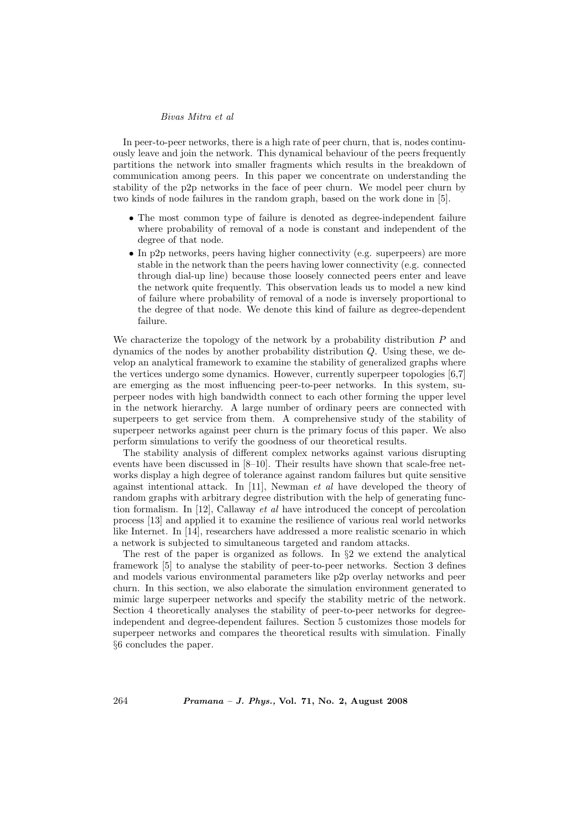In peer-to-peer networks, there is a high rate of peer churn, that is, nodes continuously leave and join the network. This dynamical behaviour of the peers frequently partitions the network into smaller fragments which results in the breakdown of communication among peers. In this paper we concentrate on understanding the stability of the p2p networks in the face of peer churn. We model peer churn by two kinds of node failures in the random graph, based on the work done in [5].

- The most common type of failure is denoted as degree-independent failure where probability of removal of a node is constant and independent of the degree of that node.
- In p2p networks, peers having higher connectivity (e.g. superpeers) are more stable in the network than the peers having lower connectivity (e.g. connected through dial-up line) because those loosely connected peers enter and leave the network quite frequently. This observation leads us to model a new kind of failure where probability of removal of a node is inversely proportional to the degree of that node. We denote this kind of failure as degree-dependent failure.

We characterize the topology of the network by a probability distribution  $P$  and dynamics of the nodes by another probability distribution Q. Using these, we develop an analytical framework to examine the stability of generalized graphs where the vertices undergo some dynamics. However, currently superpeer topologies [6,7] are emerging as the most influencing peer-to-peer networks. In this system, superpeer nodes with high bandwidth connect to each other forming the upper level in the network hierarchy. A large number of ordinary peers are connected with superpeers to get service from them. A comprehensive study of the stability of superpeer networks against peer churn is the primary focus of this paper. We also perform simulations to verify the goodness of our theoretical results.

The stability analysis of different complex networks against various disrupting events have been discussed in [8–10]. Their results have shown that scale-free networks display a high degree of tolerance against random failures but quite sensitive against intentional attack. In [11], Newman et al have developed the theory of random graphs with arbitrary degree distribution with the help of generating function formalism. In  $[12]$ , Callaway *et al* have introduced the concept of percolation process [13] and applied it to examine the resilience of various real world networks like Internet. In [14], researchers have addressed a more realistic scenario in which a network is subjected to simultaneous targeted and random attacks.

The rest of the paper is organized as follows. In  $\S2$  we extend the analytical framework [5] to analyse the stability of peer-to-peer networks. Section 3 defines and models various environmental parameters like p2p overlay networks and peer churn. In this section, we also elaborate the simulation environment generated to mimic large superpeer networks and specify the stability metric of the network. Section 4 theoretically analyses the stability of peer-to-peer networks for degreeindependent and degree-dependent failures. Section 5 customizes those models for superpeer networks and compares the theoretical results with simulation. Finally §6 concludes the paper.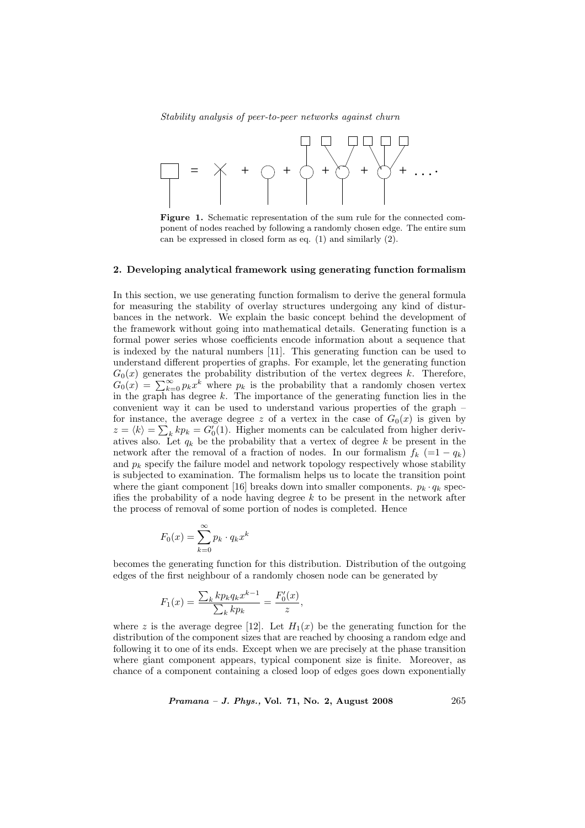

Figure 1. Schematic representation of the sum rule for the connected component of nodes reached by following a randomly chosen edge. The entire sum can be expressed in closed form as eq. (1) and similarly (2).

#### 2. Developing analytical framework using generating function formalism

In this section, we use generating function formalism to derive the general formula for measuring the stability of overlay structures undergoing any kind of disturbances in the network. We explain the basic concept behind the development of the framework without going into mathematical details. Generating function is a formal power series whose coefficients encode information about a sequence that is indexed by the natural numbers [11]. This generating function can be used to understand different properties of graphs. For example, let the generating function  $G_0(x)$  generates the probability distribution of the vertex degrees k. Therefore,  $G_0(x)$  generates the probability distribution of the vertex degrees k. Therefore,<br> $G_0(x) = \sum_{k=0}^{\infty} p_k x^k$  where  $p_k$  is the probability that a randomly chosen vertex in the graph has degree k. The importance of the generating function lies in the convenient way it can be used to understand various properties of the graph – for instance, the average degree z of a vertex in the case of  $G_0(x)$  is given by  $z = \langle k \rangle = \sum_k k p_k = G_0(1)$ . Higher moments can be calculated from higher derivatives also. Let  $q_k$  be the probability that a vertex of degree k be present in the network after the removal of a fraction of nodes. In our formalism  $f_k (=1 - q_k)$ and  $p_k$  specify the failure model and network topology respectively whose stability is subjected to examination. The formalism helps us to locate the transition point where the giant component [16] breaks down into smaller components.  $p_k \cdot q_k$  specifies the probability of a node having degree  $k$  to be present in the network after the process of removal of some portion of nodes is completed. Hence

$$
F_0(x) = \sum_{k=0}^{\infty} p_k \cdot q_k x^k
$$

becomes the generating function for this distribution. Distribution of the outgoing edges of the first neighbour of a randomly chosen node can be generated by

$$
F_1(x) = \frac{\sum_k k p_k q_k x^{k-1}}{\sum_k k p_k} = \frac{F'_0(x)}{z},
$$

where z is the average degree [12]. Let  $H_1(x)$  be the generating function for the distribution of the component sizes that are reached by choosing a random edge and following it to one of its ends. Except when we are precisely at the phase transition where giant component appears, typical component size is finite. Moreover, as chance of a component containing a closed loop of edges goes down exponentially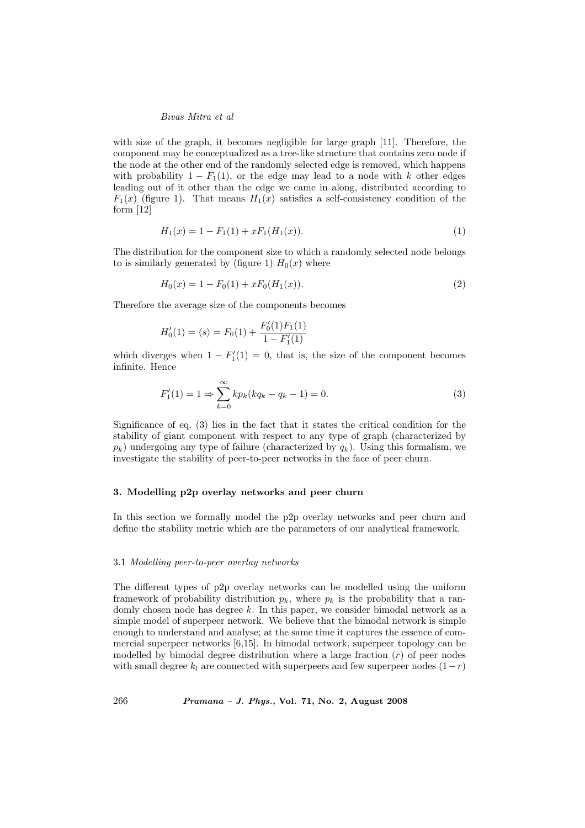with size of the graph, it becomes negligible for large graph [11]. Therefore, the component may be conceptualized as a tree-like structure that contains zero node if the node at the other end of the randomly selected edge is removed, which happens with probability  $1 - F_1(1)$ , or the edge may lead to a node with k other edges leading out of it other than the edge we came in along, distributed according to  $F_1(x)$  (figure 1). That means  $H_1(x)$  satisfies a self-consistency condition of the form [12]

$$
H_1(x) = 1 - F_1(1) + xF_1(H_1(x)).
$$
\n<sup>(1)</sup>

The distribution for the component size to which a randomly selected node belongs to is similarly generated by (figure 1)  $H_0(x)$  where

$$
H_0(x) = 1 - F_0(1) + xF_0(H_1(x)).
$$
\n(2)

Therefore the average size of the components becomes

$$
H'_0(1) = \langle s \rangle = F_0(1) + \frac{F'_0(1)F_1(1)}{1 - F'_1(1)}
$$

which diverges when  $1 - F'_1(1) = 0$ , that is, the size of the component becomes infinite. Hence

$$
F_1'(1) = 1 \Rightarrow \sum_{k=0}^{\infty} k p_k (k q_k - q_k - 1) = 0.
$$
 (3)

Significance of eq. (3) lies in the fact that it states the critical condition for the stability of giant component with respect to any type of graph (characterized by  $p_k$ ) undergoing any type of failure (characterized by  $q_k$ ). Using this formalism, we investigate the stability of peer-to-peer networks in the face of peer churn.

## 3. Modelling p2p overlay networks and peer churn

In this section we formally model the p2p overlay networks and peer churn and define the stability metric which are the parameters of our analytical framework.

#### 3.1 Modelling peer-to-peer overlay networks

The different types of p2p overlay networks can be modelled using the uniform framework of probability distribution  $p_k$ , where  $p_k$  is the probability that a randomly chosen node has degree  $k$ . In this paper, we consider bimodal network as a simple model of superpeer network. We believe that the bimodal network is simple enough to understand and analyse; at the same time it captures the essence of commercial superpeer networks [6,15]. In bimodal network, superpeer topology can be modelled by bimodal degree distribution where a large fraction  $(r)$  of peer nodes with small degree  $k_l$  are connected with superpeers and few superpeer nodes  $(1-r)$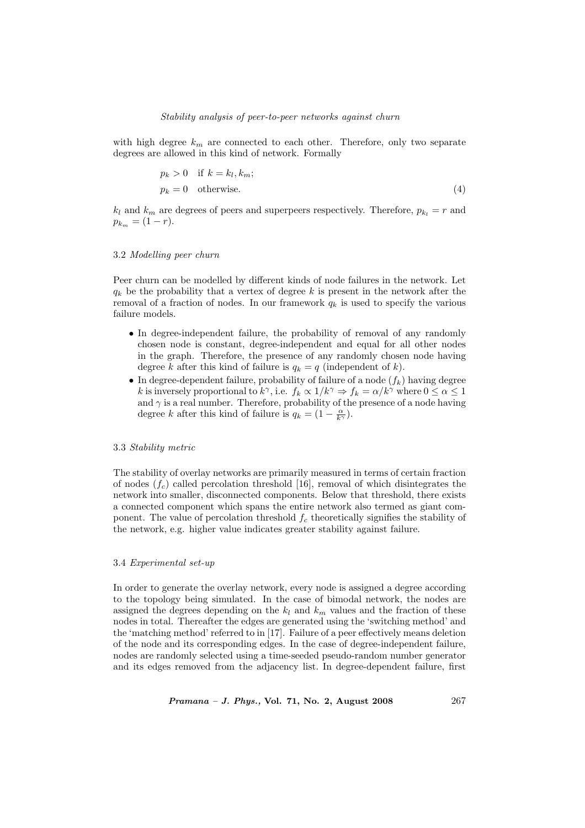with high degree  $k_m$  are connected to each other. Therefore, only two separate degrees are allowed in this kind of network. Formally

$$
p_k > 0 \quad \text{if } k = k_l, k_m; p_k = 0 \quad \text{otherwise.} \tag{4}
$$

 $k_l$  and  $k_m$  are degrees of peers and superpeers respectively. Therefore,  $p_{k_l} = r$  and  $p_{k_m} = (1 - r).$ 

# 3.2 Modelling peer churn

Peer churn can be modelled by different kinds of node failures in the network. Let  $q_k$  be the probability that a vertex of degree k is present in the network after the removal of a fraction of nodes. In our framework  $q_k$  is used to specify the various failure models.

- In degree-independent failure, the probability of removal of any randomly chosen node is constant, degree-independent and equal for all other nodes in the graph. Therefore, the presence of any randomly chosen node having degree k after this kind of failure is  $q_k = q$  (independent of k).
- In degree-dependent failure, probability of failure of a node  $(f_k)$  having degree k is inversely proportional to  $k^{\gamma}$ , i.e.  $f_k \propto 1/k^{\gamma} \Rightarrow f_k = \alpha/k^{\gamma}$  where  $0 \le \alpha \le 1$ and  $\gamma$  is a real number. Therefore, probability of the presence of a node having degree k after this kind of failure is  $q_k = (1 - \frac{\alpha}{k^{\gamma}})$ .

## 3.3 Stability metric

The stability of overlay networks are primarily measured in terms of certain fraction of nodes  $(f_c)$  called percolation threshold [16], removal of which disintegrates the network into smaller, disconnected components. Below that threshold, there exists a connected component which spans the entire network also termed as giant component. The value of percolation threshold  $f_c$  theoretically signifies the stability of the network, e.g. higher value indicates greater stability against failure.

#### 3.4 Experimental set-up

In order to generate the overlay network, every node is assigned a degree according to the topology being simulated. In the case of bimodal network, the nodes are assigned the degrees depending on the  $k_l$  and  $k_m$  values and the fraction of these nodes in total. Thereafter the edges are generated using the 'switching method' and the 'matching method' referred to in [17]. Failure of a peer effectively means deletion of the node and its corresponding edges. In the case of degree-independent failure, nodes are randomly selected using a time-seeded pseudo-random number generator and its edges removed from the adjacency list. In degree-dependent failure, first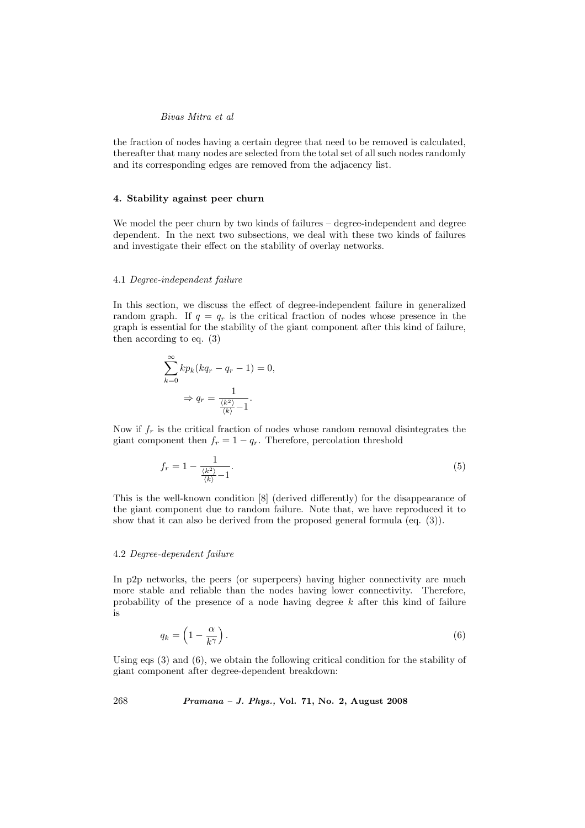the fraction of nodes having a certain degree that need to be removed is calculated, thereafter that many nodes are selected from the total set of all such nodes randomly and its corresponding edges are removed from the adjacency list.

## 4. Stability against peer churn

We model the peer churn by two kinds of failures – degree-independent and degree dependent. In the next two subsections, we deal with these two kinds of failures and investigate their effect on the stability of overlay networks.

#### 4.1 Degree-independent failure

In this section, we discuss the effect of degree-independent failure in generalized random graph. If  $q = q_r$  is the critical fraction of nodes whose presence in the graph is essential for the stability of the giant component after this kind of failure, then according to eq. (3)

$$
\sum_{k=0}^{\infty} k p_k (kq_r - q_r - 1) = 0,
$$
  

$$
\Rightarrow q_r = \frac{1}{\frac{\langle k^2 \rangle}{\langle k \rangle} - 1}.
$$

Now if  $f_r$  is the critical fraction of nodes whose random removal disintegrates the giant component then  $f_r = 1 - q_r$ . Therefore, percolation threshold

$$
f_r = 1 - \frac{1}{\frac{\langle k^2 \rangle}{\langle k \rangle} - 1}.\tag{5}
$$

This is the well-known condition [8] (derived differently) for the disappearance of the giant component due to random failure. Note that, we have reproduced it to show that it can also be derived from the proposed general formula (eq. (3)).

### 4.2 Degree-dependent failure

In p2p networks, the peers (or superpeers) having higher connectivity are much more stable and reliable than the nodes having lower connectivity. Therefore, probability of the presence of a node having degree  $k$  after this kind of failure is

$$
q_k = \left(1 - \frac{\alpha}{k^{\gamma}}\right). \tag{6}
$$

Using eqs (3) and (6), we obtain the following critical condition for the stability of giant component after degree-dependent breakdown: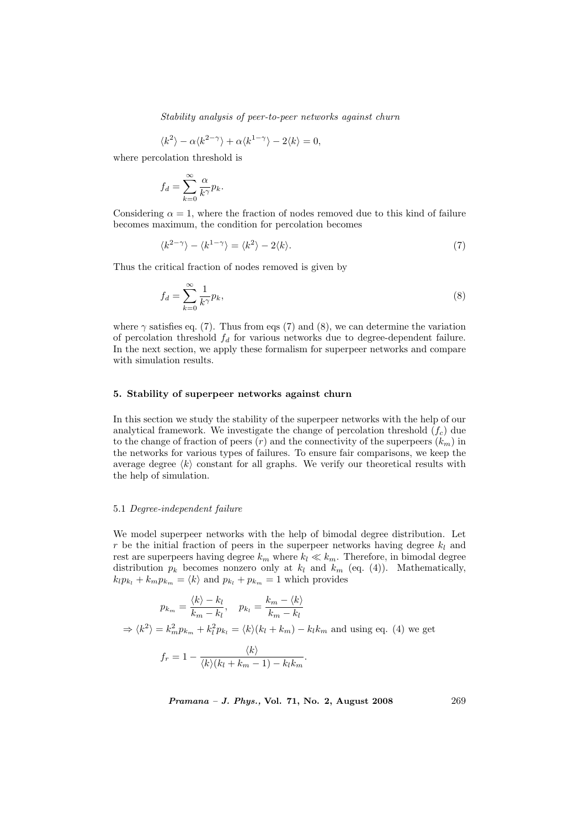$$
\langle k^2 \rangle - \alpha \langle k^{2-\gamma} \rangle + \alpha \langle k^{1-\gamma} \rangle - 2 \langle k \rangle = 0,
$$

where percolation threshold is

$$
f_d = \sum_{k=0}^{\infty} \frac{\alpha}{k^{\gamma}} p_k.
$$

Considering  $\alpha = 1$ , where the fraction of nodes removed due to this kind of failure becomes maximum, the condition for percolation becomes

$$
\langle k^{2-\gamma} \rangle - \langle k^{1-\gamma} \rangle = \langle k^2 \rangle - 2\langle k \rangle. \tag{7}
$$

Thus the critical fraction of nodes removed is given by

$$
f_d = \sum_{k=0}^{\infty} \frac{1}{k^{\gamma}} p_k,
$$
\n(8)

where  $\gamma$  satisfies eq. (7). Thus from eqs (7) and (8), we can determine the variation of percolation threshold  $f_d$  for various networks due to degree-dependent failure. In the next section, we apply these formalism for superpeer networks and compare with simulation results.

## 5. Stability of superpeer networks against churn

In this section we study the stability of the superpeer networks with the help of our analytical framework. We investigate the change of percolation threshold  $(f_c)$  due to the change of fraction of peers  $(r)$  and the connectivity of the superpeers  $(k_m)$  in the networks for various types of failures. To ensure fair comparisons, we keep the average degree  $\langle k \rangle$  constant for all graphs. We verify our theoretical results with the help of simulation.

#### 5.1 Degree-independent failure

We model superpeer networks with the help of bimodal degree distribution. Let r be the initial fraction of peers in the superpeer networks having degree  $k_l$  and rest are superpeers having degree  $k_m$  where  $k_l \ll k_m$ . Therefore, in bimodal degree distribution  $p_k$  becomes nonzero only at  $k_l$  and  $k_m$  (eq. (4)). Mathematically,  $k_l p_{k_l} + k_m p_{k_m} = \langle k \rangle$  and  $p_{k_l} + p_{k_m} = 1$  which provides

$$
p_{k_m} = \frac{\langle k \rangle - k_l}{k_m - k_l}, \quad p_{k_l} = \frac{k_m - \langle k \rangle}{k_m - k_l}
$$

$$
\Rightarrow \langle k^2 \rangle = k_m^2 p_{k_m} + k_l^2 p_{k_l} = \langle k \rangle (k_l + k_m) - k_l k_m \text{ and using eq. (4) we get}
$$

$$
f_r = 1 - \frac{\langle k \rangle}{\langle k \rangle (k_l + k_m - 1) - k_l k_m}.
$$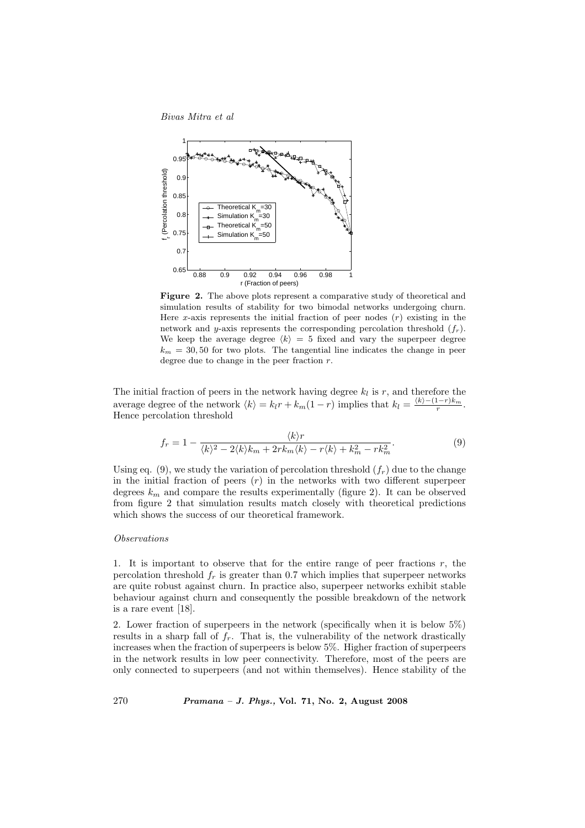

Figure 2. The above plots represent a comparative study of theoretical and simulation results of stability for two bimodal networks undergoing churn. Here x-axis represents the initial fraction of peer nodes  $(r)$  existing in the network and y-axis represents the corresponding percolation threshold  $(f_r)$ . We keep the average degree  $\langle k \rangle = 5$  fixed and vary the superpeer degree  $k_m = 30, 50$  for two plots. The tangential line indicates the change in peer degree due to change in the peer fraction  $r$ .

The initial fraction of peers in the network having degree  $k_l$  is r, and therefore the average degree of the network  $\langle k \rangle = k_l r + k_m(1 - r)$  implies that  $k_l = \frac{\langle k \rangle - (1 - r)k_m}{r}$ . Hence percolation threshold

$$
f_r = 1 - \frac{\langle k \rangle r}{\langle k \rangle^2 - 2\langle k \rangle k_m + 2rk_m \langle k \rangle - r\langle k \rangle + k_m^2 - rk_m^2}.
$$
\n(9)

Using eq. (9), we study the variation of percolation threshold  $(f_r)$  due to the change in the initial fraction of peers  $(r)$  in the networks with two different superpeer degrees  $k_m$  and compare the results experimentally (figure 2). It can be observed from figure 2 that simulation results match closely with theoretical predictions which shows the success of our theoretical framework.

## Observations

1. It is important to observe that for the entire range of peer fractions  $r$ , the percolation threshold  $f_r$  is greater than 0.7 which implies that superpeer networks are quite robust against churn. In practice also, superpeer networks exhibit stable behaviour against churn and consequently the possible breakdown of the network is a rare event [18].

2. Lower fraction of superpeers in the network (specifically when it is below 5%) results in a sharp fall of  $f_r$ . That is, the vulnerability of the network drastically increases when the fraction of superpeers is below 5%. Higher fraction of superpeers in the network results in low peer connectivity. Therefore, most of the peers are only connected to superpeers (and not within themselves). Hence stability of the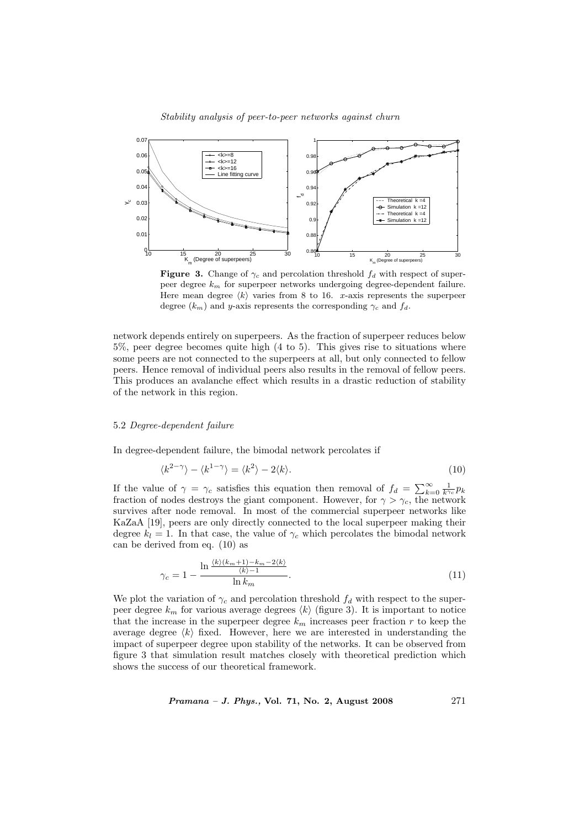

**Figure 3.** Change of  $\gamma_c$  and percolation threshold  $f_d$  with respect of superpeer degree  $k_m$  for superpeer networks undergoing degree-dependent failure. Here mean degree  $\langle k \rangle$  varies from 8 to 16. x-axis represents the superpeer degree  $(k_m)$  and y-axis represents the corresponding  $\gamma_c$  and  $f_d$ .

network depends entirely on superpeers. As the fraction of superpeer reduces below 5%, peer degree becomes quite high (4 to 5). This gives rise to situations where some peers are not connected to the superpeers at all, but only connected to fellow peers. Hence removal of individual peers also results in the removal of fellow peers. This produces an avalanche effect which results in a drastic reduction of stability of the network in this region.

## 5.2 Degree-dependent failure

In degree-dependent failure, the bimodal network percolates if

$$
\langle k^{2-\gamma} \rangle - \langle k^{1-\gamma} \rangle = \langle k^2 \rangle - 2\langle k \rangle. \tag{10}
$$

If the value of  $\gamma = \gamma_c$  satisfies this equation then removal of  $f_d = \sum_{k=1}^{\infty}$  $\sum_{k=0}^{\infty} \frac{1}{k^{\gamma_c}} p_k$ fraction of nodes destroys the giant component. However, for  $\gamma > \gamma_c$ , the network survives after node removal. In most of the commercial superpeer networks like KaZaA [19], peers are only directly connected to the local superpeer making their degree  $k_l = 1$ . In that case, the value of  $\gamma_c$  which percolates the bimodal network can be derived from eq. (10) as

$$
\gamma_c = 1 - \frac{\ln \frac{\langle k \rangle (k_m + 1) - k_m - 2 \langle k \rangle}{\langle k \rangle - 1}}{\ln k_m}.
$$
\n(11)

We plot the variation of  $\gamma_c$  and percolation threshold  $f_d$  with respect to the superpeer degree  $k_m$  for various average degrees  $\langle k \rangle$  (figure 3). It is important to notice that the increase in the superpeer degree  $k_m$  increases peer fraction r to keep the average degree  $\langle k \rangle$  fixed. However, here we are interested in understanding the impact of superpeer degree upon stability of the networks. It can be observed from figure 3 that simulation result matches closely with theoretical prediction which shows the success of our theoretical framework.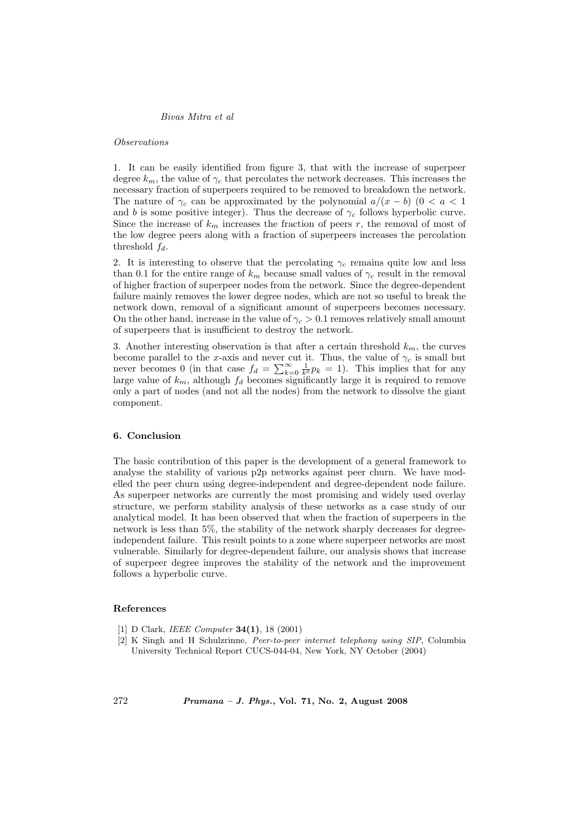#### Observations

1. It can be easily identified from figure 3, that with the increase of superpeer degree  $k_m$ , the value of  $\gamma_c$  that percolates the network decreases. This increases the necessary fraction of superpeers required to be removed to breakdown the network. The nature of  $\gamma_c$  can be approximated by the polynomial  $a/(x - b)$  (0 < a < 1 and b is some positive integer). Thus the decrease of  $\gamma_c$  follows hyperbolic curve. Since the increase of  $k_m$  increases the fraction of peers r, the removal of most of the low degree peers along with a fraction of superpeers increases the percolation threshold  $f_d$ .

2. It is interesting to observe that the percolating  $\gamma_c$  remains quite low and less than 0.1 for the entire range of  $k_m$  because small values of  $\gamma_c$  result in the removal of higher fraction of superpeer nodes from the network. Since the degree-dependent failure mainly removes the lower degree nodes, which are not so useful to break the network down, removal of a significant amount of superpeers becomes necessary. On the other hand, increase in the value of  $\gamma_c > 0.1$  removes relatively small amount of superpeers that is insufficient to destroy the network.

3. Another interesting observation is that after a certain threshold  $k_m$ , the curves become parallel to the x-axis and never cut it. Thus, the value of  $\gamma_c$  is small but become parallel to the x-axis and never cut it. Thus, the value of  $\gamma_c$  is small but<br>never becomes 0 (in that case  $f_d = \sum_{k=0}^{\infty} \frac{1}{k^0} p_k = 1$ ). This implies that for any large value of  $k_m$ , although  $f_d$  becomes significantly large it is required to remove only a part of nodes (and not all the nodes) from the network to dissolve the giant component.

# 6. Conclusion

The basic contribution of this paper is the development of a general framework to analyse the stability of various p2p networks against peer churn. We have modelled the peer churn using degree-independent and degree-dependent node failure. As superpeer networks are currently the most promising and widely used overlay structure, we perform stability analysis of these networks as a case study of our analytical model. It has been observed that when the fraction of superpeers in the network is less than 5%, the stability of the network sharply decreases for degreeindependent failure. This result points to a zone where superpeer networks are most vulnerable. Similarly for degree-dependent failure, our analysis shows that increase of superpeer degree improves the stability of the network and the improvement follows a hyperbolic curve.

## References

- [1] D Clark, *IEEE Computer* **34(1)**, 18 (2001)
- [2] K Singh and H Schulzrinne, Peer-to-peer internet telephony using SIP, Columbia University Technical Report CUCS-044-04, New York, NY October (2004)